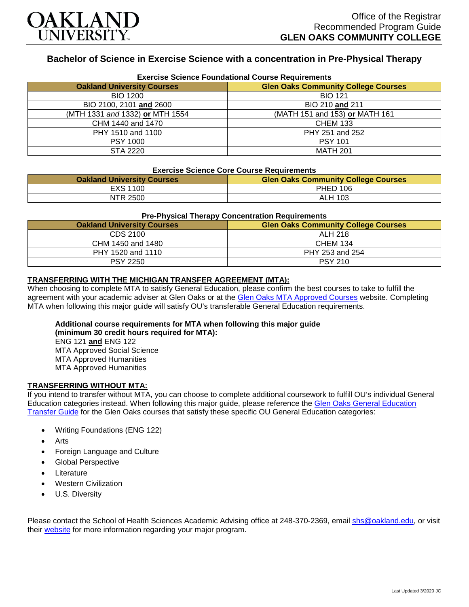

# **Bachelor of Science in Exercise Science with a concentration in Pre-Physical Therapy**

| <b>Exercise Science Foundational Course Requirements</b> |                                            |  |
|----------------------------------------------------------|--------------------------------------------|--|
| <b>Oakland University Courses</b>                        | <b>Glen Oaks Community College Courses</b> |  |
| <b>BIO 1200</b>                                          | <b>BIO 121</b>                             |  |
| BIO 2100, 2101 and 2600                                  | BIO 210 and 211                            |  |
| (MTH 1331 and 1332) or MTH 1554                          | (MATH 151 and 153) or MATH 161             |  |
| CHM 1440 and 1470                                        | <b>CHEM 133</b>                            |  |
| PHY 1510 and 1100                                        | PHY 251 and 252                            |  |
| <b>PSY 1000</b>                                          | <b>PSY 101</b>                             |  |
| STA 2220                                                 | <b>MATH 201</b>                            |  |

#### **Exercise Science Core Course Requirements**

| <b>Oakland University Courses</b> | <b>Glen Oaks Community College Courses</b> |
|-----------------------------------|--------------------------------------------|
| EXS 1100                          | <b>PHED 106</b>                            |
| NTR 2500                          | ALH 103                                    |

#### **Pre-Physical Therapy Concentration Requirements**

| <b>Oakland University Courses</b> | <b>Glen Oaks Community College Courses</b> |
|-----------------------------------|--------------------------------------------|
| CDS 2100                          | <b>ALH 218</b>                             |
| CHM 1450 and 1480                 | <b>CHEM 134</b>                            |
| PHY 1520 and 1110                 | PHY 253 and 254                            |
| <b>PSY 2250</b>                   | <b>PSY 210</b>                             |

#### **TRANSFERRING WITH THE MICHIGAN TRANSFER AGREEMENT (MTA):**

When choosing to complete MTA to satisfy General Education, please confirm the best courses to take to fulfill the agreement with your academic adviser at Glen Oaks or at the [Glen Oaks MTA Approved Courses](https://www.glenoaks.edu/current-students/registration-records/#MTA) website. Completing MTA when following this major guide will satisfy OU's transferable General Education requirements.

### **Additional course requirements for MTA when following this major guide (minimum 30 credit hours required for MTA):**

ENG 121 **and** ENG 122 MTA Approved Social Science MTA Approved Humanities MTA Approved Humanities

#### **TRANSFERRING WITHOUT MTA:**

If you intend to transfer without MTA, you can choose to complete additional coursework to fulfill OU's individual General Education categories instead. When following this major guide, please reference the Glen Oaks General Education [Transfer Guide](https://www.oakland.edu/Assets/Oakland/program-guides/glen-oaks-community-college/university-general-education-requirements/Glen%20Oaks%20Gen%20Ed.pdf) for the Glen Oaks courses that satisfy these specific OU General Education categories:

- Writing Foundations (ENG 122)
- Arts
- Foreign Language and Culture
- Global Perspective
- **Literature**
- Western Civilization
- U.S. Diversity

Please contact the School of Health Sciences Academic Advising office at 248-370-2369, email [shs@oakland.edu,](mailto:shs@oakland.edu) or visit their [website](http://www.oakland.edu/shs/advising) for more information regarding your major program.